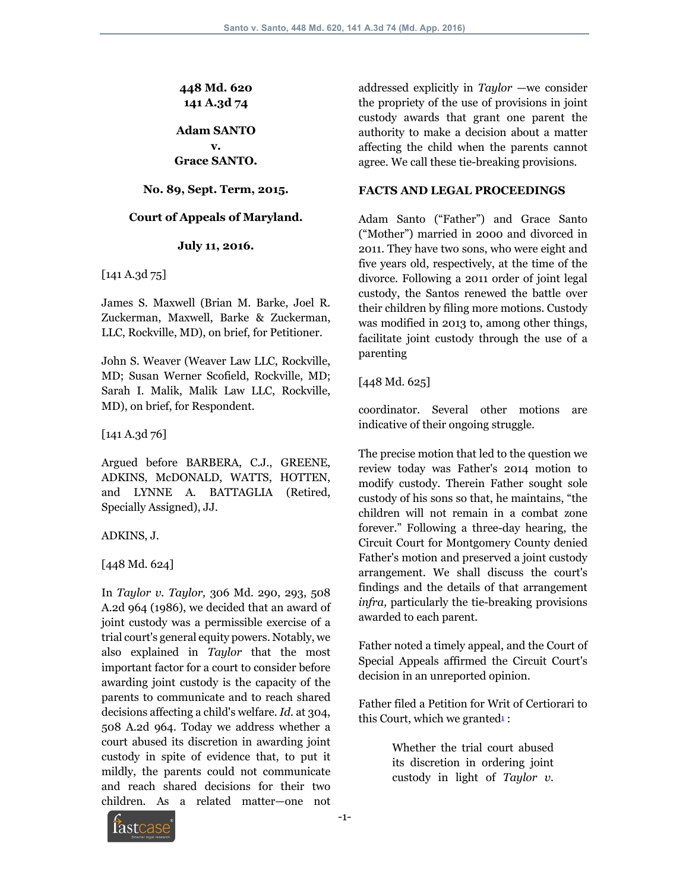**448 Md. 620 141 A.3d 74**

**Adam SANTO v.**

**Grace SANTO.**

#### **No. 89, Sept. Term, 2015.**

#### **Court of Appeals of Maryland.**

#### **July 11, 2016.**

[141 A.3d 75]

James S. Maxwell (Brian M. Barke, Joel R. Zuckerman, Maxwell, Barke & Zuckerman, LLC, Rockville, MD), on brief, for Petitioner.

John S. Weaver (Weaver Law LLC, Rockville, MD; Susan Werner Scofield, Rockville, MD; Sarah I. Malik, Malik Law LLC, Rockville, MD), on brief, for Respondent.

[141 A.3d 76]

Argued before BARBERA, C.J., GREENE, ADKINS, McDONALD, WATTS, HOTTEN, and LYNNE A. BATTAGLIA (Retired, Specially Assigned), JJ.

ADKINS, J.

[448 Md. 624]

In *Taylor v. Taylor,* 306 Md. 290, 293, 508 A.2d 964 (1986), we decided that an award of joint custody was a permissible exercise of a trial court's general equity powers. Notably, we also explained in *Taylor* that the most important factor for a court to consider before awarding joint custody is the capacity of the parents to communicate and to reach shared decisions affecting a child's welfare. *Id.* at 304, 508 A.2d 964. Today we address whether a court abused its discretion in awarding joint custody in spite of evidence that, to put it mildly, the parents could not communicate and reach shared decisions for their two children. As a related matter—one not

addressed explicitly in *Taylor* —we consider the propriety of the use of provisions in joint custody awards that grant one parent the authority to make a decision about a matter affecting the child when the parents cannot agree. We call these tie-breaking provisions.

#### **FACTS AND LEGAL PROCEEDINGS**

Adam Santo ("Father") and Grace Santo ("Mother") married in 2000 and divorced in 2011. They have two sons, who were eight and five years old, respectively, at the time of the divorce. Following a 2011 order of joint legal custody, the Santos renewed the battle over their children by filing more motions. Custody was modified in 2013 to, among other things, facilitate joint custody through the use of a parenting

[448 Md. 625]

coordinator. Several other motions are indicative of their ongoing struggle.

The precise motion that led to the question we review today was Father's 2014 motion to modify custody. Therein Father sought sole custody of his sons so that, he maintains, "the children will not remain in a combat zone forever." Following a three-day hearing, the Circuit Court for Montgomery County denied Father's motion and preserved a joint custody arrangement. We shall discuss the court's findings and the details of that arrangement *infra,* particularly the tie-breaking provisions awarded to each parent.

Father noted a timely appeal, and the Court of Special Appeals affirmed the Circuit Court's decision in an unreported opinion.

Father filed a Petition for Writ of Certiorari to this Court, which we granted $\frac{1}{2}$ :

> Whether the trial court abused its discretion in ordering joint custody in light of *Taylor v.*

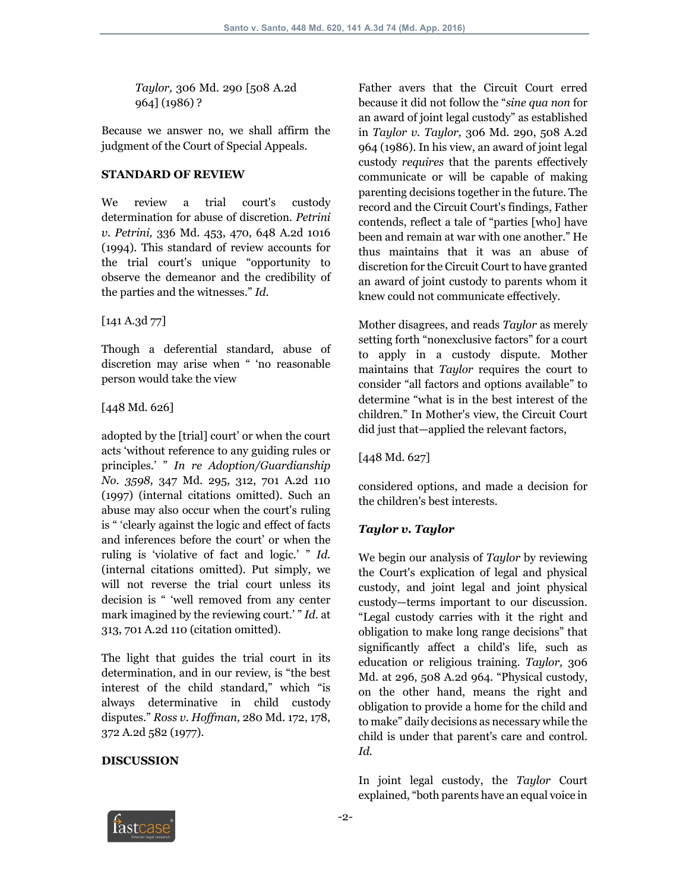*Taylor,* 306 Md. 290 [508 A.2d 964] (1986) ?

Because we answer no, we shall affirm the judgment of the Court of Special Appeals.

#### **STANDARD OF REVIEW**

We review a trial court's custody determination for abuse of discretion. *Petrini v. Petrini,* 336 Md. 453, 470, 648 A.2d 1016 (1994). This standard of review accounts for the trial court's unique "opportunity to observe the demeanor and the credibility of the parties and the witnesses." *Id.*

[141 A.3d 77]

Though a deferential standard, abuse of discretion may arise when " 'no reasonable person would take the view

#### [448 Md. 626]

adopted by the [trial] court' or when the court acts 'without reference to any guiding rules or principles.' " *In re Adoption/Guardianship No. 3598,* 347 Md. 295, 312, 701 A.2d 110 (1997) (internal citations omitted). Such an abuse may also occur when the court's ruling is " 'clearly against the logic and effect of facts and inferences before the court' or when the ruling is 'violative of fact and logic.' " *Id.* (internal citations omitted). Put simply, we will not reverse the trial court unless its decision is " 'well removed from any center mark imagined by the reviewing court.' " *Id.* at 313, 701 A.2d 110 (citation omitted).

The light that guides the trial court in its determination, and in our review, is "the best interest of the child standard," which "is always determinative in child custody disputes." *Ross v. Hoffman,* 280 Md. 172, 178, 372 A.2d 582 (1977).

## **DISCUSSION**

Father avers that the Circuit Court erred because it did not follow the "*sine qua non* for an award of joint legal custody" as established in *Taylor v. Taylor,* 306 Md. 290, 508 A.2d 964 (1986). In his view, an award of joint legal custody *requires* that the parents effectively communicate or will be capable of making parenting decisions together in the future. The record and the Circuit Court's findings, Father contends, reflect a tale of "parties [who] have been and remain at war with one another." He thus maintains that it was an abuse of discretion for the Circuit Court to have granted an award of joint custody to parents whom it knew could not communicate effectively.

Mother disagrees, and reads *Taylor* as merely setting forth "nonexclusive factors" for a court to apply in a custody dispute. Mother maintains that *Taylor* requires the court to consider "all factors and options available" to determine "what is in the best interest of the children." In Mother's view, the Circuit Court did just that—applied the relevant factors,

[448 Md. 627]

considered options, and made a decision for the children's best interests.

## *Taylor v. Taylor*

We begin our analysis of *Taylor* by reviewing the Court's explication of legal and physical custody, and joint legal and joint physical custody—terms important to our discussion. "Legal custody carries with it the right and obligation to make long range decisions" that significantly affect a child's life, such as education or religious training. *Taylor,* 306 Md. at 296, 508 A.2d 964. "Physical custody, on the other hand, means the right and obligation to provide a home for the child and to make" daily decisions as necessary while the child is under that parent's care and control. *Id.*

In joint legal custody, the *Taylor* Court explained, "both parents have an equal voice in

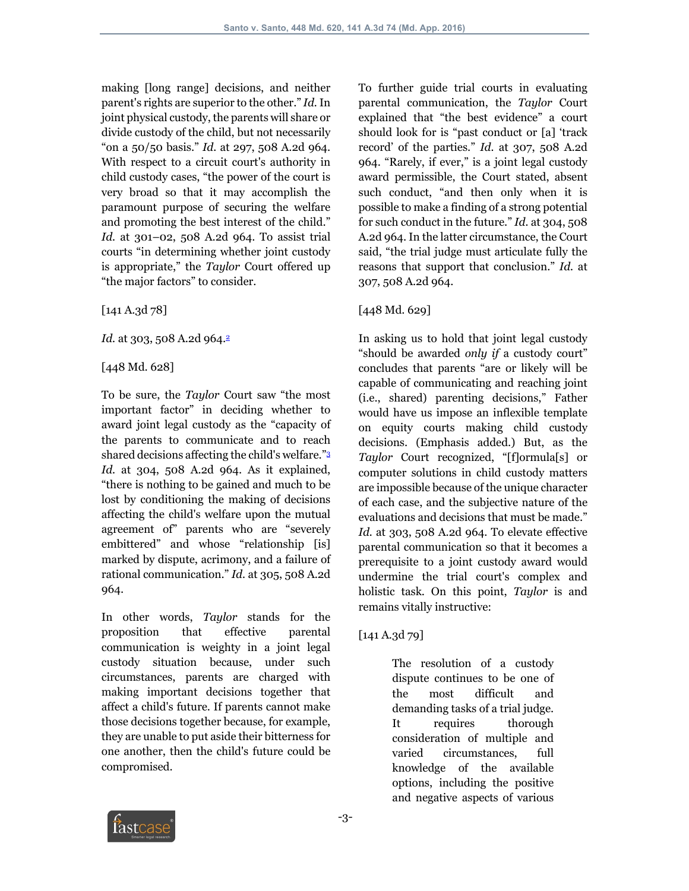making [long range] decisions, and neither parent's rights are superior to the other." *Id.*In joint physical custody, the parents will share or divide custody of the child, but not necessarily "on a 50/50 basis." *Id.* at 297, 508 A.2d 964. With respect to a circuit court's authority in child custody cases, "the power of the court is very broad so that it may accomplish the paramount purpose of securing the welfare and promoting the best interest of the child." *Id.* at 301–02, 508 A.2d 964. To assist trial courts "in determining whether joint custody is appropriate," the *Taylor* Court offered up "the major factors" to consider.

[141 A.3d 78]

*Id.* at 303, 508 A.2d 964.<sup>2</sup>

[448 Md. 628]

To be sure, the *Taylor* Court saw "the most important factor" in deciding whether to award joint legal custody as the "capacity of the parents to communicate and to reach shared decisions affecting the child's welfare."3 *Id.* at 304, 508 A.2d 964. As it explained, "there is nothing to be gained and much to be lost by conditioning the making of decisions affecting the child's welfare upon the mutual agreement of" parents who are "severely embittered" and whose "relationship [is] marked by dispute, acrimony, and a failure of rational communication." *Id.* at 305, 508 A.2d 964.

In other words, *Taylor* stands for the proposition that effective parental communication is weighty in a joint legal custody situation because, under such circumstances, parents are charged with making important decisions together that affect a child's future. If parents cannot make those decisions together because, for example, they are unable to put aside their bitterness for one another, then the child's future could be compromised.

To further guide trial courts in evaluating parental communication, the *Taylor* Court explained that "the best evidence" a court should look for is "past conduct or [a] 'track record' of the parties." *Id.* at 307, 508 A.2d 964. "Rarely, if ever," is a joint legal custody award permissible, the Court stated, absent such conduct, "and then only when it is possible to make a finding of a strong potential for such conduct in the future." *Id.* at 304, 508 A.2d 964. In the latter circumstance, the Court said, "the trial judge must articulate fully the reasons that support that conclusion." *Id.* at 307, 508 A.2d 964.

# [448 Md. 629]

In asking us to hold that joint legal custody "should be awarded *only if* a custody court" concludes that parents "are or likely will be capable of communicating and reaching joint (i.e., shared) parenting decisions," Father would have us impose an inflexible template on equity courts making child custody decisions. (Emphasis added.) But, as the *Taylor* Court recognized, "[f]ormula[s] or computer solutions in child custody matters are impossible because of the unique character of each case, and the subjective nature of the evaluations and decisions that must be made." *Id.* at 303, 508 A.2d 964. To elevate effective parental communication so that it becomes a prerequisite to a joint custody award would undermine the trial court's complex and holistic task. On this point, *Taylor* is and remains vitally instructive:

[141 A.3d 79]

The resolution of a custody dispute continues to be one of the most difficult and demanding tasks of a trial judge. It requires thorough consideration of multiple and varied circumstances, full knowledge of the available options, including the positive and negative aspects of various

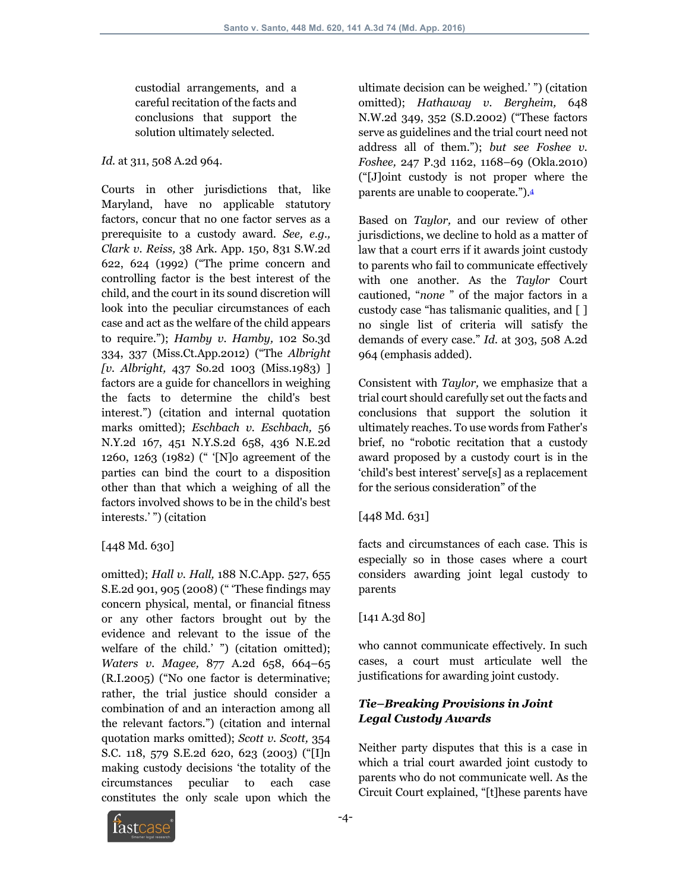custodial arrangements, and a careful recitation of the facts and conclusions that support the solution ultimately selected.

*Id.* at 311, 508 A.2d 964.

Courts in other jurisdictions that, like Maryland, have no applicable statutory factors, concur that no one factor serves as a prerequisite to a custody award. *See, e.g., Clark v. Reiss,* 38 Ark. App. 150, 831 S.W.2d 622, 624 (1992) ("The prime concern and controlling factor is the best interest of the child, and the court in its sound discretion will look into the peculiar circumstances of each case and act as the welfare of the child appears to require."); *Hamby v. Hamby,* 102 So.3d 334, 337 (Miss.Ct.App.2012) ("The *Albright [v. Albright,* 437 So.2d 1003 (Miss.1983) ] factors are a guide for chancellors in weighing the facts to determine the child's best interest.") (citation and internal quotation marks omitted); *Eschbach v. Eschbach,* 56 N.Y.2d 167, 451 N.Y.S.2d 658, 436 N.E.2d 1260, 1263 (1982) (" '[N]o agreement of the parties can bind the court to a disposition other than that which a weighing of all the factors involved shows to be in the child's best interests.' ") (citation

## $[448 \, Md. 630]$

omitted); *Hall v. Hall,* 188 N.C.App. 527, 655 S.E.2d 901, 905 (2008) (" 'These findings may concern physical, mental, or financial fitness or any other factors brought out by the evidence and relevant to the issue of the welfare of the child.' ") (citation omitted); *Waters v. Magee,* 877 A.2d 658, 664–65 (R.I.2005) ("No one factor is determinative; rather, the trial justice should consider a combination of and an interaction among all the relevant factors.") (citation and internal quotation marks omitted); *Scott v. Scott,* 354 S.C. 118, 579 S.E.2d 620, 623 (2003) ("[I]n making custody decisions 'the totality of the circumstances peculiar to each case constitutes the only scale upon which the ultimate decision can be weighed.' ") (citation omitted); *Hathaway v. Bergheim,* 648 N.W.2d 349, 352 (S.D.2002) ("These factors serve as guidelines and the trial court need not address all of them."); *but see Foshee v. Foshee,* 247 P.3d 1162, 1168–69 (Okla.2010) ("[J]oint custody is not proper where the parents are unable to cooperate.").4

Based on *Taylor,* and our review of other jurisdictions, we decline to hold as a matter of law that a court errs if it awards joint custody to parents who fail to communicate effectively with one another. As the *Taylor* Court cautioned, "*none* " of the major factors in a custody case "has talismanic qualities, and [ ] no single list of criteria will satisfy the demands of every case." *Id.* at 303, 508 A.2d 964 (emphasis added).

Consistent with *Taylor,* we emphasize that a trial court should carefully set out the facts and conclusions that support the solution it ultimately reaches. To use words from Father's brief, no "robotic recitation that a custody award proposed by a custody court is in the 'child's best interest' serve[s] as a replacement for the serious consideration" of the

## [448 Md. 631]

facts and circumstances of each case. This is especially so in those cases where a court considers awarding joint legal custody to parents

#### [141 A.3d 80]

who cannot communicate effectively. In such cases, a court must articulate well the justifications for awarding joint custody.

## *Tie–Breaking Provisions in Joint Legal Custody Awards*

Neither party disputes that this is a case in which a trial court awarded joint custody to parents who do not communicate well. As the Circuit Court explained, "[t]hese parents have

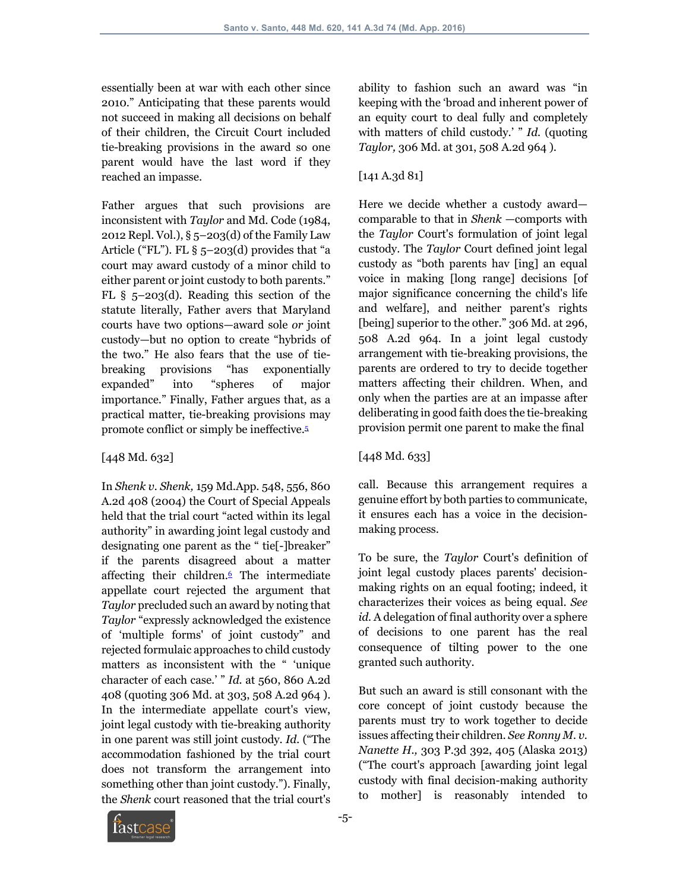essentially been at war with each other since 2010." Anticipating that these parents would not succeed in making all decisions on behalf of their children, the Circuit Court included tie-breaking provisions in the award so one parent would have the last word if they reached an impasse.

Father argues that such provisions are inconsistent with *Taylor* and Md. Code (1984, 2012 Repl. Vol.), § 5–203(d) of the Family Law Article ("FL"). FL  $\S$  5-203(d) provides that "a court may award custody of a minor child to either parent or joint custody to both parents." FL § 5–203(d). Reading this section of the statute literally, Father avers that Maryland courts have two options—award sole *or* joint custody—but no option to create "hybrids of the two." He also fears that the use of tiebreaking provisions "has exponentially expanded" into "spheres of major importance." Finally, Father argues that, as a practical matter, tie-breaking provisions may promote conflict or simply be ineffective.5

## [448 Md. 632]

In *Shenk v. Shenk,* 159 Md.App. 548, 556, 860 A.2d 408 (2004) the Court of Special Appeals held that the trial court "acted within its legal authority" in awarding joint legal custody and designating one parent as the " tie[-]breaker" if the parents disagreed about a matter affecting their children.<sup>6</sup> The intermediate appellate court rejected the argument that *Taylor* precluded such an award by noting that *Taylor* "expressly acknowledged the existence of 'multiple forms' of joint custody" and rejected formulaic approaches to child custody matters as inconsistent with the " 'unique character of each case.'" *Id.* at 560, 860 A.2d 408 (quoting 306 Md. at 303, 508 A.2d 964 ). In the intermediate appellate court's view, joint legal custody with tie-breaking authority in one parent was still joint custody. *Id.* ("The accommodation fashioned by the trial court does not transform the arrangement into something other than joint custody."). Finally, the *Shenk* court reasoned that the trial court's

ability to fashion such an award was "in keeping with the 'broad and inherent power of an equity court to deal fully and completely with matters of child custody.' " *Id.* (quoting *Taylor,* 306 Md. at 301, 508 A.2d 964 ).

# [141 A.3d 81]

Here we decide whether a custody award comparable to that in *Shenk* —comports with the *Taylor* Court's formulation of joint legal custody. The *Taylor* Court defined joint legal custody as "both parents hav [ing] an equal voice in making [long range] decisions [of major significance concerning the child's life and welfare], and neither parent's rights [being] superior to the other." 306 Md. at 296, 508 A.2d 964. In a joint legal custody arrangement with tie-breaking provisions, the parents are ordered to try to decide together matters affecting their children. When, and only when the parties are at an impasse after deliberating in good faith does the tie-breaking provision permit one parent to make the final

## [448 Md. 633]

call. Because this arrangement requires a genuine effort by both parties to communicate, it ensures each has a voice in the decisionmaking process.

To be sure, the *Taylor* Court's definition of joint legal custody places parents' decisionmaking rights on an equal footing; indeed, it characterizes their voices as being equal. *See id.* A delegation of final authority over a sphere of decisions to one parent has the real consequence of tilting power to the one granted such authority.

But such an award is still consonant with the core concept of joint custody because the parents must try to work together to decide issues affecting their children. *See Ronny M. v. Nanette H.,* 303 P.3d 392, 405 (Alaska 2013) ("The court's approach [awarding joint legal custody with final decision-making authority to mother] is reasonably intended to

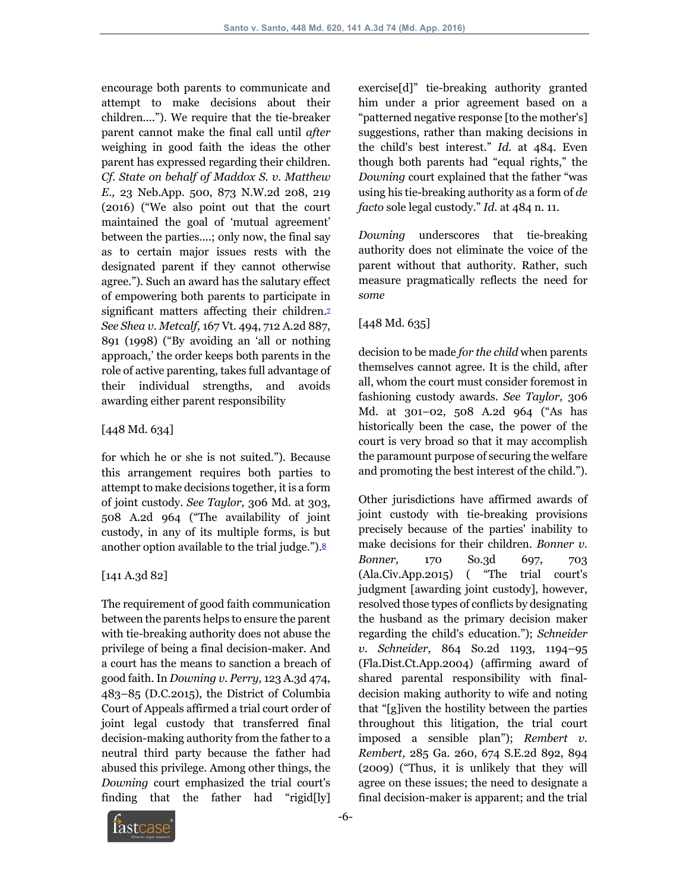encourage both parents to communicate and attempt to make decisions about their children...."). We require that the tie-breaker parent cannot make the final call until *after* weighing in good faith the ideas the other parent has expressed regarding their children. *Cf. State on behalf of Maddox S. v. Matthew E.,* 23 Neb.App. 500, 873 N.W.2d 208, 219 (2016) ("We also point out that the court maintained the goal of 'mutual agreement' between the parties....; only now, the final say as to certain major issues rests with the designated parent if they cannot otherwise agree."). Such an award has the salutary effect of empowering both parents to participate in significant matters affecting their children.<sup>7</sup> *See Shea v. Metcalf,* 167 Vt. 494, 712 A.2d 887, 891 (1998) ("By avoiding an 'all or nothing approach,' the order keeps both parents in the role of active parenting, takes full advantage of their individual strengths, and avoids awarding either parent responsibility

#### [448 Md. 634]

for which he or she is not suited."). Because this arrangement requires both parties to attempt to make decisions together, it is a form of joint custody. *See Taylor,* 306 Md. at 303, 508 A.2d 964 ("The availability of joint custody, in any of its multiple forms, is but another option available to the trial judge."). $8$ 

## [141 A.3d 82]

The requirement of good faith communication between the parents helps to ensure the parent with tie-breaking authority does not abuse the privilege of being a final decision-maker. And a court has the means to sanction a breach of good faith. In *Downing v. Perry,* 123 A.3d 474, 483–85 (D.C.2015), the District of Columbia Court of Appeals affirmed a trial court order of joint legal custody that transferred final decision-making authority from the father to a neutral third party because the father had abused this privilege. Among other things, the *Downing* court emphasized the trial court's finding that the father had "rigid[ly]

exercise[d]" tie-breaking authority granted him under a prior agreement based on a "patterned negative response [to the mother's] suggestions, rather than making decisions in the child's best interest." *Id.* at 484. Even though both parents had "equal rights," the *Downing* court explained that the father "was using his tie-breaking authority as a form of *de facto* sole legal custody." *Id.* at 484 n. 11.

*Downing* underscores that tie-breaking authority does not eliminate the voice of the parent without that authority. Rather, such measure pragmatically reflects the need for *some*

# [448 Md. 635]

decision to be made *for the child* when parents themselves cannot agree. It is the child, after all, whom the court must consider foremost in fashioning custody awards. *See Taylor,* 306 Md. at 301–02, 508 A.2d 964 ("As has historically been the case, the power of the court is very broad so that it may accomplish the paramount purpose of securing the welfare and promoting the best interest of the child.").

Other jurisdictions have affirmed awards of joint custody with tie-breaking provisions precisely because of the parties' inability to make decisions for their children. *Bonner v. Bonner,* 170 So.3d 697, 703 (Ala.Civ.App.2015) ( "The trial court's judgment [awarding joint custody], however, resolved those types of conflicts by designating the husband as the primary decision maker regarding the child's education."); *Schneider v. Schneider,* 864 So.2d 1193, 1194–95 (Fla.Dist.Ct.App.2004) (affirming award of shared parental responsibility with finaldecision making authority to wife and noting that "[g]iven the hostility between the parties throughout this litigation, the trial court imposed a sensible plan"); *Rembert v. Rembert,* 285 Ga. 260, 674 S.E.2d 892, 894 (2009) ("Thus, it is unlikely that they will agree on these issues; the need to designate a final decision-maker is apparent; and the trial

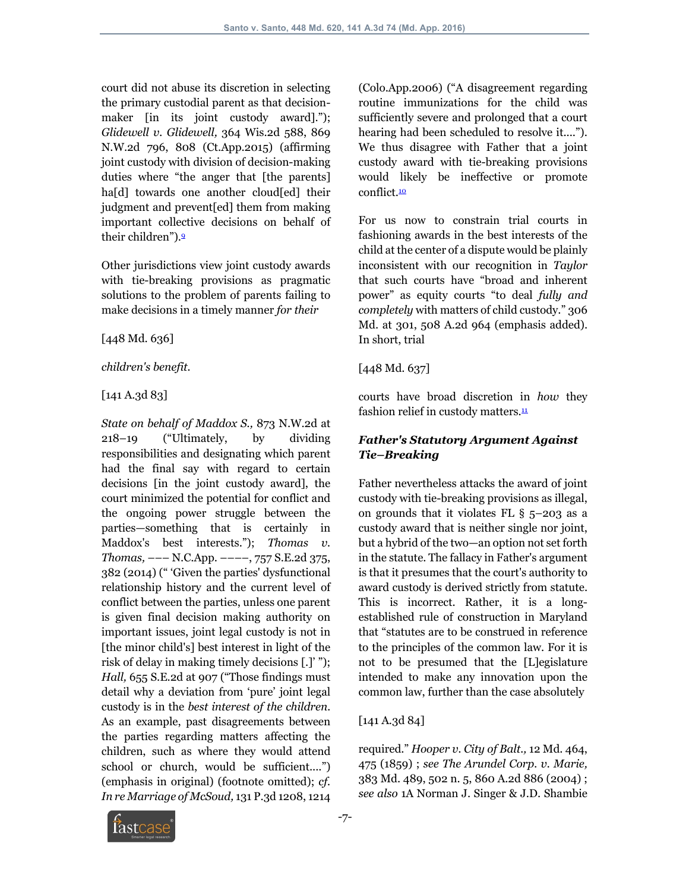court did not abuse its discretion in selecting the primary custodial parent as that decisionmaker [in its joint custody award]."); *Glidewell v. Glidewell,* 364 Wis.2d 588, 869 N.W.2d 796, 808 (Ct.App.2015) (affirming joint custody with division of decision-making duties where "the anger that [the parents] ha[d] towards one another cloud[ed] their judgment and prevent[ed] them from making important collective decisions on behalf of their children").9

Other jurisdictions view joint custody awards with tie-breaking provisions as pragmatic solutions to the problem of parents failing to make decisions in a timely manner *for their* 

[448 Md. 636]

*children's benefit.* 

[141 A.3d 83]

*State on behalf of Maddox S.,* 873 N.W.2d at 218–19 ("Ultimately, by dividing responsibilities and designating which parent had the final say with regard to certain decisions [in the joint custody award], the court minimized the potential for conflict and the ongoing power struggle between the parties—something that is certainly in Maddox's best interests."); *Thomas v. Thomas,* ––– N.C.App. ––––, 757 S.E.2d 375, 382 (2014) (" 'Given the parties' dysfunctional relationship history and the current level of conflict between the parties, unless one parent is given final decision making authority on important issues, joint legal custody is not in [the minor child's] best interest in light of the risk of delay in making timely decisions [.]' "); *Hall,* 655 S.E.2d at 907 ("Those findings must detail why a deviation from 'pure' joint legal custody is in the *best interest of the children.* As an example, past disagreements between the parties regarding matters affecting the children, such as where they would attend school or church, would be sufficient....") (emphasis in original) (footnote omitted); *cf. In re Marriage of McSoud,* 131 P.3d 1208, 1214

(Colo.App.2006) ("A disagreement regarding routine immunizations for the child was sufficiently severe and prolonged that a court hearing had been scheduled to resolve it...."). We thus disagree with Father that a joint custody award with tie-breaking provisions would likely be ineffective or promote conflict.<sup>10</sup>

For us now to constrain trial courts in fashioning awards in the best interests of the child at the center of a dispute would be plainly inconsistent with our recognition in *Taylor* that such courts have "broad and inherent power" as equity courts "to deal *fully and completely* with matters of child custody." 306 Md. at 301, 508 A.2d 964 (emphasis added). In short, trial

## [448 Md. 637]

courts have broad discretion in *how* they fashion relief in custody matters. $\frac{11}{2}$ 

# *Father's Statutory Argument Against Tie–Breaking*

Father nevertheless attacks the award of joint custody with tie-breaking provisions as illegal, on grounds that it violates FL § 5–203 as a custody award that is neither single nor joint, but a hybrid of the two—an option not set forth in the statute. The fallacy in Father's argument is that it presumes that the court's authority to award custody is derived strictly from statute. This is incorrect. Rather, it is a longestablished rule of construction in Maryland that "statutes are to be construed in reference to the principles of the common law. For it is not to be presumed that the [L]egislature intended to make any innovation upon the common law, further than the case absolutely

## [141 A.3d 84]

required." *Hooper v. City of Balt.,* 12 Md. 464, 475 (1859) ; *see The Arundel Corp. v. Marie,* 383 Md. 489, 502 n. 5, 860 A.2d 886 (2004) ; *see also* 1A Norman J. Singer & J.D. Shambie

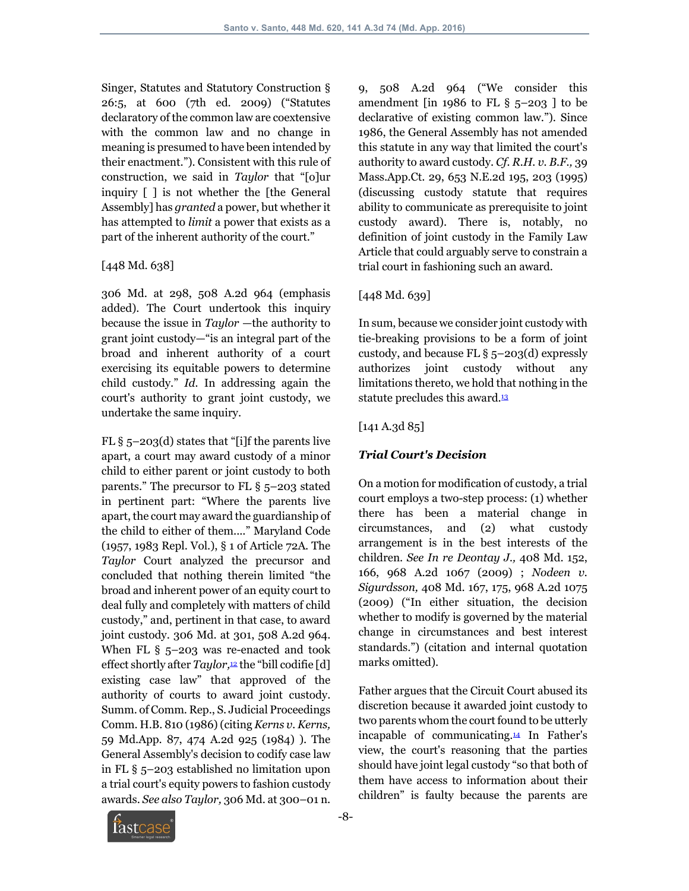Singer, Statutes and Statutory Construction § 26:5, at 600 (7th ed. 2009) ("Statutes declaratory of the common law are coextensive with the common law and no change in meaning is presumed to have been intended by their enactment."). Consistent with this rule of construction, we said in *Taylor* that "[o]ur inquiry [ ] is not whether the [the General Assembly] has *granted* a power, but whether it has attempted to *limit* a power that exists as a part of the inherent authority of the court."

#### [448 Md. 638]

306 Md. at 298, 508 A.2d 964 (emphasis added). The Court undertook this inquiry because the issue in *Taylor* —the authority to grant joint custody—"is an integral part of the broad and inherent authority of a court exercising its equitable powers to determine child custody." *Id.* In addressing again the court's authority to grant joint custody, we undertake the same inquiry.

FL  $\S$  5–203(d) states that "[i]f the parents live apart, a court may award custody of a minor child to either parent or joint custody to both parents." The precursor to FL § 5–203 stated in pertinent part: "Where the parents live apart, the court may award the guardianship of the child to either of them...." Maryland Code (1957, 1983 Repl. Vol.), § 1 of Article 72A. The *Taylor* Court analyzed the precursor and concluded that nothing therein limited "the broad and inherent power of an equity court to deal fully and completely with matters of child custody," and, pertinent in that case, to award joint custody. 306 Md. at 301, 508 A.2d 964. When FL § 5-203 was re-enacted and took effect shortly after *Taylor*,<sup>12</sup> the "bill codifie [d] existing case law" that approved of the authority of courts to award joint custody. Summ. of Comm. Rep., S. Judicial Proceedings Comm. H.B. 810 (1986) (citing *Kerns v. Kerns,* 59 Md.App. 87, 474 A.2d 925 (1984) ). The General Assembly's decision to codify case law in FL § 5–203 established no limitation upon a trial court's equity powers to fashion custody awards. *See also Taylor,* 306 Md. at 300–01 n.

9, 508 A.2d 964 ("We consider this amendment [in 1986 to FL  $\S$  5-203 ] to be declarative of existing common law."). Since 1986, the General Assembly has not amended this statute in any way that limited the court's authority to award custody. *Cf. R.H. v. B.F.,* 39 Mass.App.Ct. 29, 653 N.E.2d 195, 203 (1995) (discussing custody statute that requires ability to communicate as prerequisite to joint custody award). There is, notably, no definition of joint custody in the Family Law Article that could arguably serve to constrain a trial court in fashioning such an award.

# [448 Md. 639]

In sum, because we consider joint custody with tie-breaking provisions to be a form of joint custody, and because FL § 5–203(d) expressly authorizes joint custody without any limitations thereto, we hold that nothing in the statute precludes this award.<sup>13</sup>

# [141 A.3d 85]

# *Trial Court's Decision*

On a motion for modification of custody, a trial court employs a two-step process: (1) whether there has been a material change in circumstances, and (2) what custody arrangement is in the best interests of the children. *See In re Deontay J.,* 408 Md. 152, 166, 968 A.2d 1067 (2009) ; *Nodeen v. Sigurdsson,* 408 Md. 167, 175, 968 A.2d 1075 (2009) ("In either situation, the decision whether to modify is governed by the material change in circumstances and best interest standards.") (citation and internal quotation marks omitted).

Father argues that the Circuit Court abused its discretion because it awarded joint custody to two parents whom the court found to be utterly incapable of communicating.14 In Father's view, the court's reasoning that the parties should have joint legal custody "so that both of them have access to information about their children" is faulty because the parents are

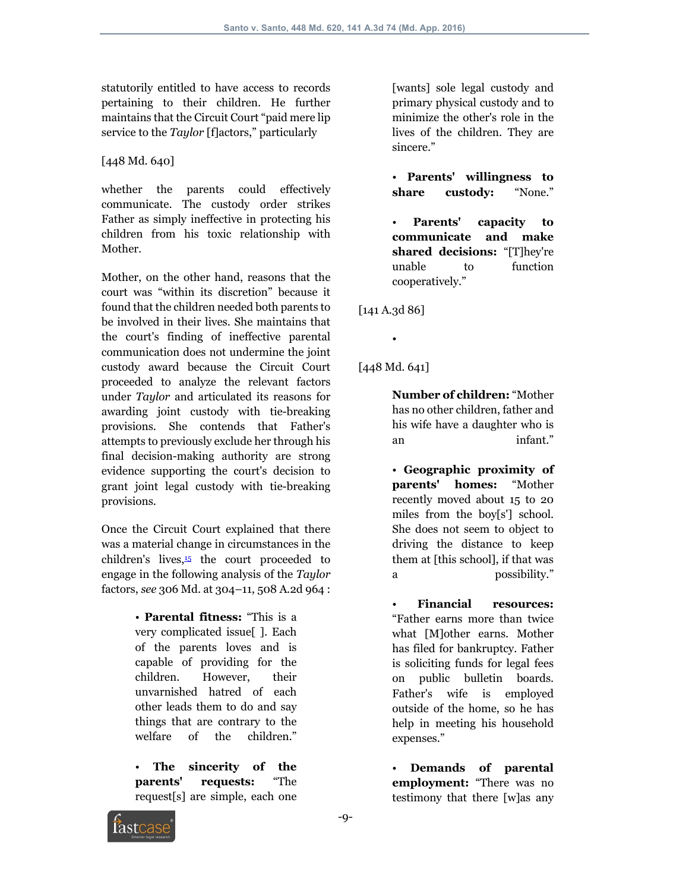statutorily entitled to have access to records pertaining to their children. He further maintains that the Circuit Court "paid mere lip service to the *Taylor* [f]actors," particularly

[448 Md. 640]

whether the parents could effectively communicate. The custody order strikes Father as simply ineffective in protecting his children from his toxic relationship with Mother.

Mother, on the other hand, reasons that the court was "within its discretion" because it found that the children needed both parents to be involved in their lives. She maintains that the court's finding of ineffective parental communication does not undermine the joint custody award because the Circuit Court proceeded to analyze the relevant factors under *Taylor* and articulated its reasons for awarding joint custody with tie-breaking provisions. She contends that Father's attempts to previously exclude her through his final decision-making authority are strong evidence supporting the court's decision to grant joint legal custody with tie-breaking provisions.

Once the Circuit Court explained that there was a material change in circumstances in the children's lives, $\frac{15}{15}$  the court proceeded to engage in the following analysis of the *Taylor* factors, *see* 306 Md. at 304–11, 508 A.2d 964 :

> • **Parental fitness:** "This is a very complicated issue[ ]. Each of the parents loves and is capable of providing for the children. However, their unvarnished hatred of each other leads them to do and say things that are contrary to the welfare of the children."

The sincerity of the **parents' requests:** "The request[s] are simple, each one [wants] sole legal custody and primary physical custody and to minimize the other's role in the lives of the children. They are sincere."

• **Parents' willingness to share custody:** "None."

• **Parents' capacity to communicate and make shared decisions:** "[T]hey're unable to function cooperatively."

[141 A.3d 86]

•

[448 Md. 641]

**Number of children:** "Mother has no other children, father and his wife have a daughter who is an infant."

• **Geographic proximity of parents' homes:** "Mother recently moved about 15 to 20 miles from the boy[s'] school. She does not seem to object to driving the distance to keep them at [this school], if that was a possibility."

• **Financial resources:** "Father earns more than twice what [M]other earns. Mother has filed for bankruptcy. Father is soliciting funds for legal fees on public bulletin boards. Father's wife is employed outside of the home, so he has help in meeting his household expenses."

• **Demands of parental employment:** "There was no testimony that there [w]as any

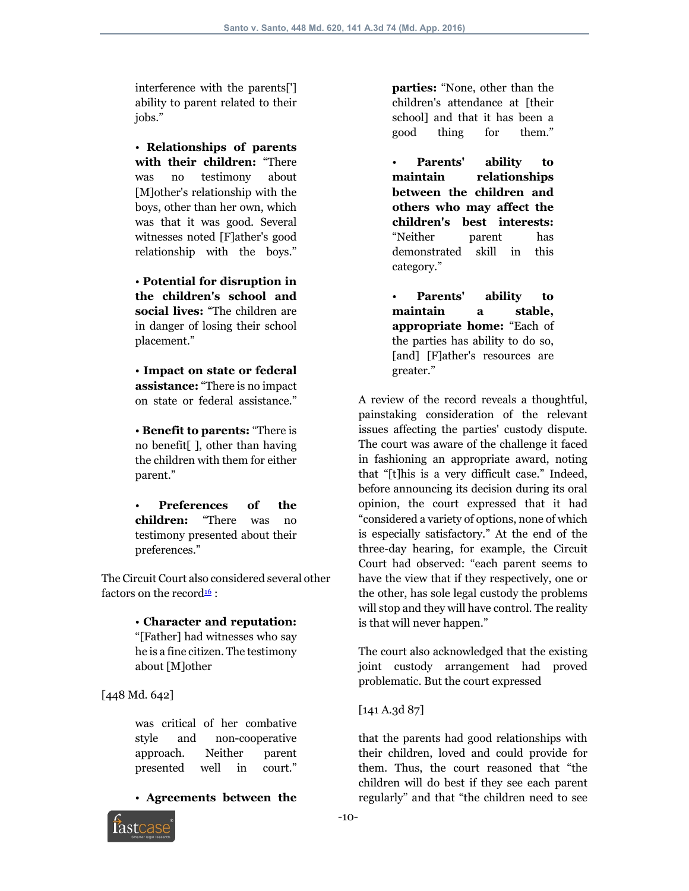interference with the parents['] ability to parent related to their jobs."

• **Relationships of parents with their children:** "There was no testimony about [M]other's relationship with the boys, other than her own, which was that it was good. Several witnesses noted [F]ather's good relationship with the boys."

• **Potential for disruption in the children's school and social lives:** "The children are in danger of losing their school placement."

• **Impact on state or federal assistance:** "There is no impact on state or federal assistance."

• **Benefit to parents:** "There is no benefit[ ], other than having the children with them for either parent."

• **Preferences of the children:** "There was no testimony presented about their preferences."

The Circuit Court also considered several other factors on the record<sup>16</sup>:

> • **Character and reputation:** "[Father] had witnesses who say he is a fine citizen. The testimony about [M]other

[448 Md. 642]

was critical of her combative style and non-cooperative approach. Neither parent presented well in court."

• **Agreements between the** 



**parties:** "None, other than the children's attendance at [their school] and that it has been a good thing for them."

• **Parents' ability to maintain relationships between the children and others who may affect the children's best interests:** "Neither parent has demonstrated skill in this category."

• **Parents' ability to maintain a stable, appropriate home:** "Each of the parties has ability to do so, [and] [F]ather's resources are greater."

A review of the record reveals a thoughtful, painstaking consideration of the relevant issues affecting the parties' custody dispute. The court was aware of the challenge it faced in fashioning an appropriate award, noting that "[t]his is a very difficult case." Indeed, before announcing its decision during its oral opinion, the court expressed that it had "considered a variety of options, none of which is especially satisfactory." At the end of the three-day hearing, for example, the Circuit Court had observed: "each parent seems to have the view that if they respectively, one or the other, has sole legal custody the problems will stop and they will have control. The reality is that will never happen."

The court also acknowledged that the existing joint custody arrangement had proved problematic. But the court expressed

[141 A.3d 87]

that the parents had good relationships with their children, loved and could provide for them. Thus, the court reasoned that "the children will do best if they see each parent regularly" and that "the children need to see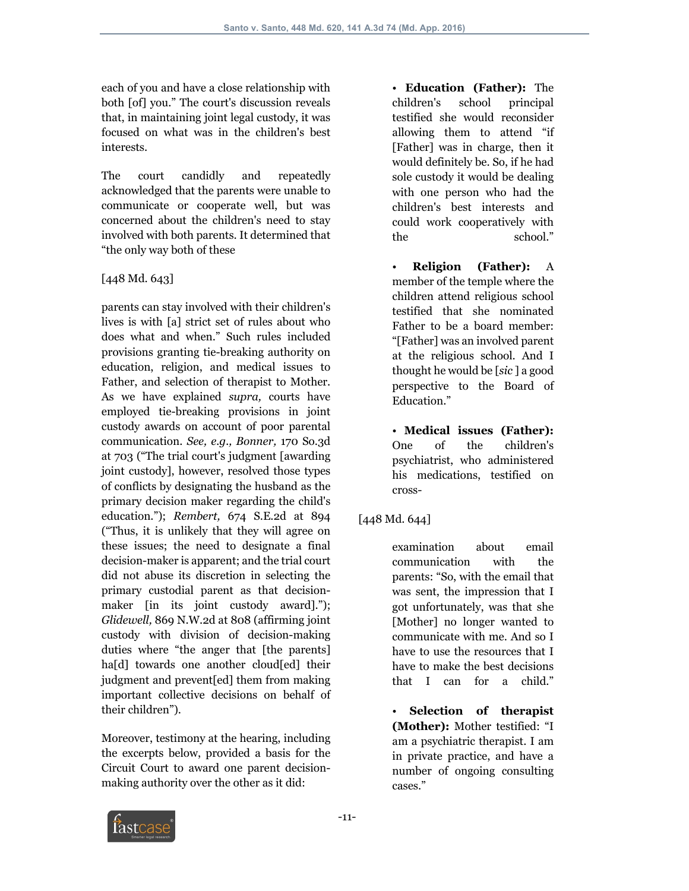each of you and have a close relationship with both [of] you." The court's discussion reveals that, in maintaining joint legal custody, it was focused on what was in the children's best interests.

The court candidly and repeatedly acknowledged that the parents were unable to communicate or cooperate well, but was concerned about the children's need to stay involved with both parents. It determined that "the only way both of these

#### [448 Md. 643]

parents can stay involved with their children's lives is with [a] strict set of rules about who does what and when." Such rules included provisions granting tie-breaking authority on education, religion, and medical issues to Father, and selection of therapist to Mother. As we have explained *supra,* courts have employed tie-breaking provisions in joint custody awards on account of poor parental communication. *See, e.g., Bonner,* 170 So.3d at 703 ("The trial court's judgment [awarding joint custody], however, resolved those types of conflicts by designating the husband as the primary decision maker regarding the child's education."); *Rembert,* 674 S.E.2d at 894 ("Thus, it is unlikely that they will agree on these issues; the need to designate a final decision-maker is apparent; and the trial court did not abuse its discretion in selecting the primary custodial parent as that decisionmaker [in its joint custody award]."); *Glidewell,* 869 N.W.2d at 808 (affirming joint custody with division of decision-making duties where "the anger that [the parents] ha<sup>[d]</sup> towards one another cloud<sup>[ed]</sup> their judgment and prevent[ed] them from making important collective decisions on behalf of their children").

Moreover, testimony at the hearing, including the excerpts below, provided a basis for the Circuit Court to award one parent decisionmaking authority over the other as it did:

• **Education (Father):** The children's school principal testified she would reconsider allowing them to attend "if [Father] was in charge, then it would definitely be. So, if he had sole custody it would be dealing with one person who had the children's best interests and could work cooperatively with the school."

• **Religion (Father):** A member of the temple where the children attend religious school testified that she nominated Father to be a board member: "[Father] was an involved parent at the religious school. And I thought he would be [*sic* ] a good perspective to the Board of Education."

• **Medical issues (Father):** One of the children's psychiatrist, who administered his medications, testified on cross-

## [448 Md. 644]

examination about email communication with the parents: "So, with the email that was sent, the impression that I got unfortunately, was that she [Mother] no longer wanted to communicate with me. And so I have to use the resources that I have to make the best decisions that I can for a child."

• **Selection of therapist (Mother):** Mother testified: "I am a psychiatric therapist. I am in private practice, and have a number of ongoing consulting cases."

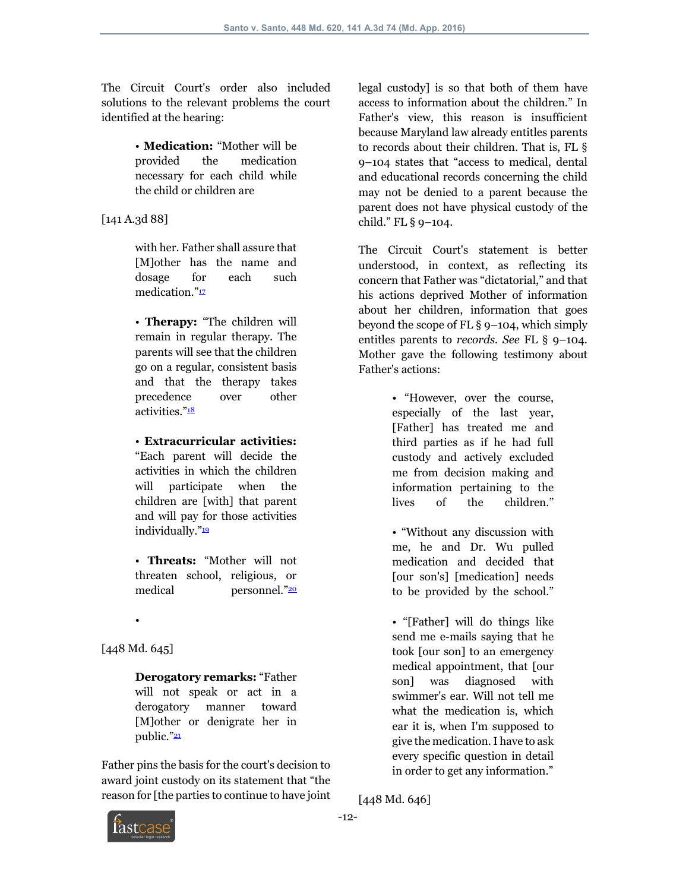The Circuit Court's order also included solutions to the relevant problems the court identified at the hearing:

> • **Medication:** "Mother will be provided the medication necessary for each child while the child or children are

[141 A.3d 88]

with her. Father shall assure that [M]other has the name and dosage for each such medication."<sup>17</sup>

• **Therapy:** "The children will remain in regular therapy. The parents will see that the children go on a regular, consistent basis and that the therapy takes precedence over other activities."<sup>18</sup>

• **Extracurricular activities:** "Each parent will decide the activities in which the children will participate when the children are [with] that parent and will pay for those activities individually."

• **Threats:** "Mother will not threaten school, religious, or medical personnel."20

• [448 Md. 645]

> **Derogatory remarks:** "Father will not speak or act in a derogatory manner toward [M]other or denigrate her in public."<sup>21</sup>

Father pins the basis for the court's decision to award joint custody on its statement that "the reason for [the parties to continue to have joint legal custody] is so that both of them have access to information about the children." In Father's view, this reason is insufficient because Maryland law already entitles parents to records about their children. That is, FL § 9–104 states that "access to medical, dental and educational records concerning the child may not be denied to a parent because the parent does not have physical custody of the child." FL § 9–104.

The Circuit Court's statement is better understood, in context, as reflecting its concern that Father was "dictatorial," and that his actions deprived Mother of information about her children, information that goes beyond the scope of FL § 9–104, which simply entitles parents to *records. See* FL § 9–104. Mother gave the following testimony about Father's actions:

> • "However, over the course, especially of the last year, [Father] has treated me and third parties as if he had full custody and actively excluded me from decision making and information pertaining to the lives of the children."

> • "Without any discussion with me, he and Dr. Wu pulled medication and decided that [our son's] [medication] needs to be provided by the school."

> • "[Father] will do things like send me e-mails saying that he took [our son] to an emergency medical appointment, that [our son] was diagnosed with swimmer's ear. Will not tell me what the medication is, which ear it is, when I'm supposed to give the medication. I have to ask every specific question in detail in order to get any information."

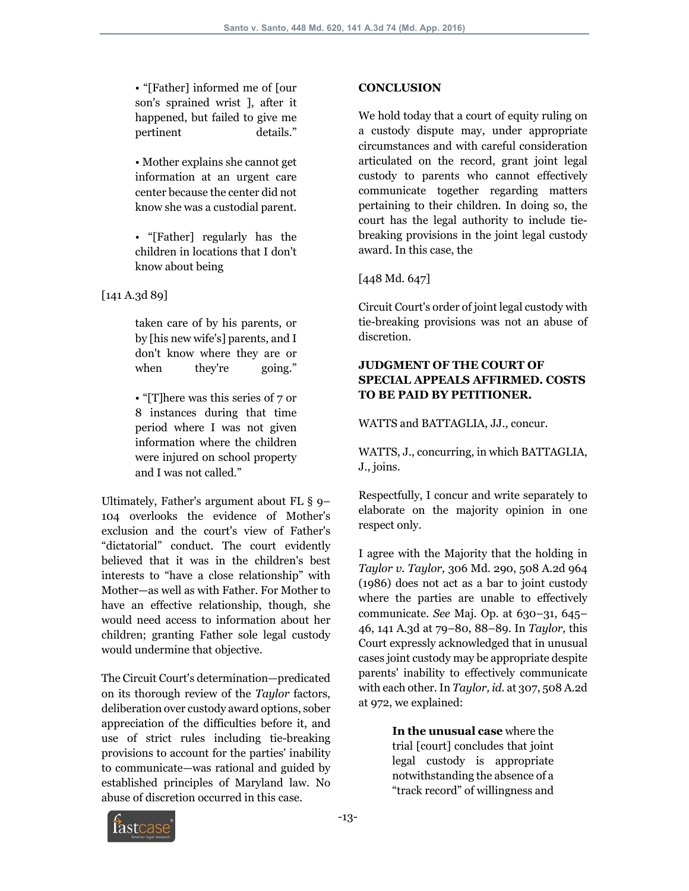• "[Father] informed me of [our son's sprained wrist ], after it happened, but failed to give me pertinent details."

• Mother explains she cannot get information at an urgent care center because the center did not know she was a custodial parent.

• "[Father] regularly has the children in locations that I don't know about being

[141 A.3d 89]

taken care of by his parents, or by [his new wife's] parents, and I don't know where they are or when they're going."

• "[T] here was this series of 7 or 8 instances during that time period where I was not given information where the children were injured on school property and I was not called."

Ultimately, Father's argument about FL § 9– 104 overlooks the evidence of Mother's exclusion and the court's view of Father's "dictatorial" conduct. The court evidently believed that it was in the children's best interests to "have a close relationship" with Mother—as well as with Father. For Mother to have an effective relationship, though, she would need access to information about her children; granting Father sole legal custody would undermine that objective.

The Circuit Court's determination—predicated on its thorough review of the *Taylor* factors, deliberation over custody award options, sober appreciation of the difficulties before it, and use of strict rules including tie-breaking provisions to account for the parties' inability to communicate—was rational and guided by established principles of Maryland law. No abuse of discretion occurred in this case.

## **CONCLUSION**

We hold today that a court of equity ruling on a custody dispute may, under appropriate circumstances and with careful consideration articulated on the record, grant joint legal custody to parents who cannot effectively communicate together regarding matters pertaining to their children. In doing so, the court has the legal authority to include tiebreaking provisions in the joint legal custody award. In this case, the

## [448 Md. 647]

Circuit Court's order of joint legal custody with tie-breaking provisions was not an abuse of discretion.

#### **JUDGMENT OF THE COURT OF SPECIAL APPEALS AFFIRMED. COSTS TO BE PAID BY PETITIONER.**

WATTS and BATTAGLIA, JJ., concur.

WATTS, J., concurring, in which BATTAGLIA, J., joins.

Respectfully, I concur and write separately to elaborate on the majority opinion in one respect only.

I agree with the Majority that the holding in *Taylor v. Taylor,* 306 Md. 290, 508 A.2d 964 (1986) does not act as a bar to joint custody where the parties are unable to effectively communicate. *See* Maj. Op. at 630–31, 645– 46, 141 A.3d at 79–80, 88–89. In *Taylor,* this Court expressly acknowledged that in unusual cases joint custody may be appropriate despite parents' inability to effectively communicate with each other. In *Taylor, id.* at 307, 508 A.2d at 972, we explained:

> **In the unusual case** where the trial [court] concludes that joint legal custody is appropriate notwithstanding the absence of a "track record" of willingness and

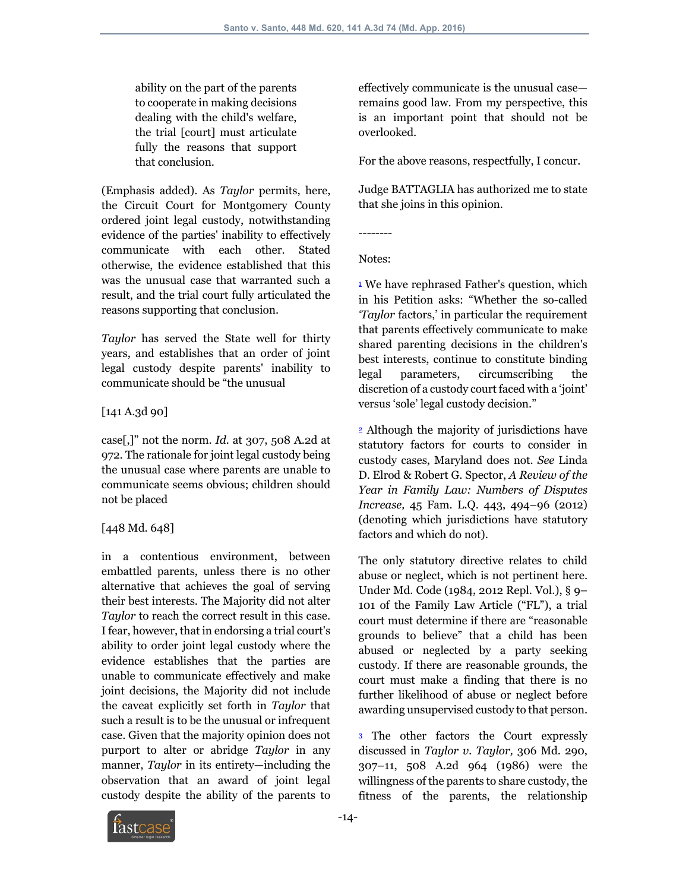ability on the part of the parents to cooperate in making decisions dealing with the child's welfare, the trial [court] must articulate fully the reasons that support that conclusion.

(Emphasis added). As *Taylor* permits, here, the Circuit Court for Montgomery County ordered joint legal custody, notwithstanding evidence of the parties' inability to effectively communicate with each other. Stated otherwise, the evidence established that this was the unusual case that warranted such a result, and the trial court fully articulated the reasons supporting that conclusion.

*Taylor* has served the State well for thirty years, and establishes that an order of joint legal custody despite parents' inability to communicate should be "the unusual

[141 A.3d 90]

case[,]" not the norm. *Id.* at 307, 508 A.2d at 972. The rationale for joint legal custody being the unusual case where parents are unable to communicate seems obvious; children should not be placed

## [448 Md. 648]

in a contentious environment, between embattled parents, unless there is no other alternative that achieves the goal of serving their best interests. The Majority did not alter *Taylor* to reach the correct result in this case. I fear, however, that in endorsing a trial court's ability to order joint legal custody where the evidence establishes that the parties are unable to communicate effectively and make joint decisions, the Majority did not include the caveat explicitly set forth in *Taylor* that such a result is to be the unusual or infrequent case. Given that the majority opinion does not purport to alter or abridge *Taylor* in any manner, *Taylor* in its entirety—including the observation that an award of joint legal custody despite the ability of the parents to

effectively communicate is the unusual case remains good law. From my perspective, this is an important point that should not be overlooked.

For the above reasons, respectfully, I concur.

Judge BATTAGLIA has authorized me to state that she joins in this opinion.

--------

Notes:

<sup>1</sup> We have rephrased Father's question, which in his Petition asks: "Whether the so-called *'Taylor* factors,' in particular the requirement that parents effectively communicate to make shared parenting decisions in the children's best interests, continue to constitute binding legal parameters, circumscribing the discretion of a custody court faced with a 'joint' versus 'sole' legal custody decision."

<sup>2</sup> Although the majority of jurisdictions have statutory factors for courts to consider in custody cases, Maryland does not. *See* Linda D. Elrod & Robert G. Spector, *A Review of the Year in Family Law: Numbers of Disputes Increase,* 45 Fam. L.Q. 443, 494–96 (2012) (denoting which jurisdictions have statutory factors and which do not).

The only statutory directive relates to child abuse or neglect, which is not pertinent here. Under Md. Code (1984, 2012 Repl. Vol.), § 9– 101 of the Family Law Article ("FL"), a trial court must determine if there are "reasonable grounds to believe" that a child has been abused or neglected by a party seeking custody. If there are reasonable grounds, the court must make a finding that there is no further likelihood of abuse or neglect before awarding unsupervised custody to that person.

<sup>3</sup> The other factors the Court expressly discussed in *Taylor v. Taylor,* 306 Md. 290, 307–11, 508 A.2d 964 (1986) were the willingness of the parents to share custody, the fitness of the parents, the relationship

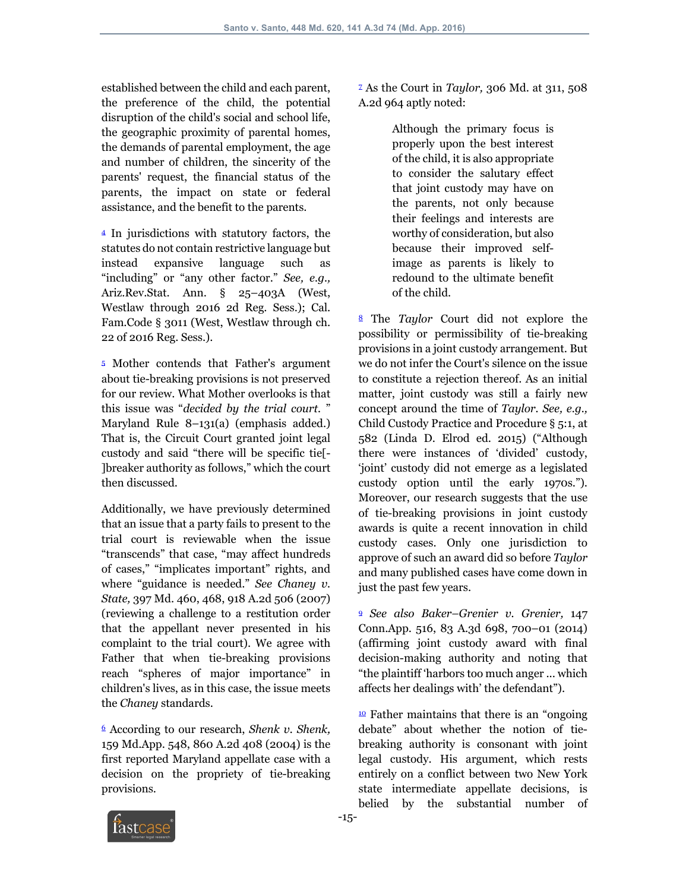established between the child and each parent, the preference of the child, the potential disruption of the child's social and school life, the geographic proximity of parental homes, the demands of parental employment, the age and number of children, the sincerity of the parents' request, the financial status of the parents, the impact on state or federal assistance, and the benefit to the parents.

<sup>4</sup> In jurisdictions with statutory factors, the statutes do not contain restrictive language but instead expansive language such as "including" or "any other factor." *See, e.g.,* Ariz.Rev.Stat. Ann. § 25–403A (West, Westlaw through 2016 2d Reg. Sess.); Cal. Fam.Code § 3011 (West, Westlaw through ch. 22 of 2016 Reg. Sess.).

<sup>5</sup> Mother contends that Father's argument about tie-breaking provisions is not preserved for our review. What Mother overlooks is that this issue was "*decided by the trial court.* " Maryland Rule 8–131(a) (emphasis added.) That is, the Circuit Court granted joint legal custody and said "there will be specific tie[- ]breaker authority as follows," which the court then discussed.

Additionally, we have previously determined that an issue that a party fails to present to the trial court is reviewable when the issue "transcends" that case, "may affect hundreds of cases," "implicates important" rights, and where "guidance is needed." *See Chaney v. State,* 397 Md. 460, 468, 918 A.2d 506 (2007) (reviewing a challenge to a restitution order that the appellant never presented in his complaint to the trial court). We agree with Father that when tie-breaking provisions reach "spheres of major importance" in children's lives, as in this case, the issue meets the *Chaney* standards.

<sup>6</sup> According to our research, *Shenk v. Shenk,* 159 Md.App. 548, 860 A.2d 408 (2004) is the first reported Maryland appellate case with a decision on the propriety of tie-breaking provisions.

<sup>7</sup> As the Court in *Taylor,* 306 Md. at 311, 508 A.2d 964 aptly noted:

> Although the primary focus is properly upon the best interest of the child, it is also appropriate to consider the salutary effect that joint custody may have on the parents, not only because their feelings and interests are worthy of consideration, but also because their improved selfimage as parents is likely to redound to the ultimate benefit of the child.

<sup>8</sup> The *Taylor* Court did not explore the possibility or permissibility of tie-breaking provisions in a joint custody arrangement. But we do not infer the Court's silence on the issue to constitute a rejection thereof. As an initial matter, joint custody was still a fairly new concept around the time of *Taylor. See, e.g.,* Child Custody Practice and Procedure § 5:1, at 582 (Linda D. Elrod ed. 2015) ("Although there were instances of 'divided' custody, 'joint' custody did not emerge as a legislated custody option until the early 1970s."). Moreover, our research suggests that the use of tie-breaking provisions in joint custody awards is quite a recent innovation in child custody cases. Only one jurisdiction to approve of such an award did so before *Taylor* and many published cases have come down in just the past few years.

<sup>9</sup> *See also Baker–Grenier v. Grenier,* 147 Conn.App. 516, 83 A.3d 698, 700–01 (2014) (affirming joint custody award with final decision-making authority and noting that "the plaintiff 'harbors too much anger ... which affects her dealings with' the defendant").

 $\frac{10}{2}$  Father maintains that there is an "ongoing" debate" about whether the notion of tiebreaking authority is consonant with joint legal custody. His argument, which rests entirely on a conflict between two New York state intermediate appellate decisions, is belied by the substantial number of